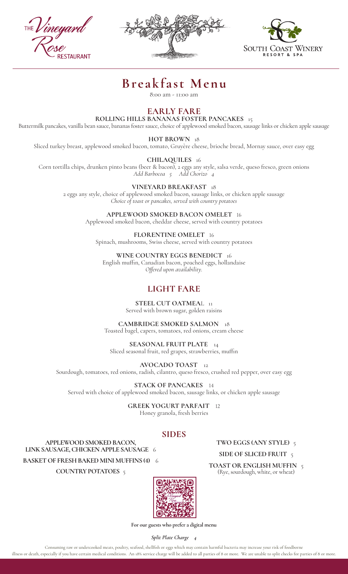**TALIRANT** 





# **Breakfast Menu**

8:00 am - 11:00 am

# **EARLY FARE**

**ROLLING HILLS BANANAS FOSTER PANCAKES** 15

Buttermilk pancakes, vanilla bean sauce, bananas foster sauce, choice of applewood smoked bacon, sausage links or chicken apple sausage

**HOT BROWN** 18

Sliced turkey breast, applewood smoked bacon, tomato, Gruyère cheese, brioche bread, Mornay sauce, over easy egg

**CHILAQUILES** 16

Corn tortilla chips, drunken pinto beans (beer & bacon), 2 eggs any style, salsa verde, queso fresco, green onions *Add Barbocoa 5 Add Chorizo 4*

**VINEYARD BREAKFAST** 18

2 eggs any style, choice of applewood smoked bacon, sausage links, or chicken apple sausage *Choice of toast or pancakes, served with country potatoes* 

> **APPLEWOOD SMOKED BACON OMELET** 16 Applewood smoked bacon, cheddar cheese, served with country potatoes

**FLORENTINE OMELET** 16 Spinach, mushrooms, Swiss cheese, served with country potatoes

**WINE COUNTRY EGGS BENEDICT** 16

English muffin, Canadian bacon, poached eggs, hollandaise *Offered upon availability.*

# **LIGHT FARE**

**STEEL CUT OATMEAL** 11 Served with brown sugar, golden raisins

**CAMBRIDGE SMOKED SALMON** 18 Toasted bagel, capers, tomatoes, red onions, cream cheese

**SEASONAL FRUIT PLATE** 14 Sliced seasonal fruit, red grapes, strawberries, muffin

**AVOCADO TOAST** 12 Sourdough, tomatoes, red onions, radish, cilantro, queso fresco, crushed red pepper, over easy egg

**STACK OF PANCAKES** 14 Served with choice of applewood smoked bacon, sausage links, or chicken apple sausage

> **GREEK YOGURT PARFAIT** 12 Honey granola, fresh berries

# **SIDES**

**APPLEWOOD SMOKED BACON, LINK SAUSAGE, CHICKEN APPLE SAUSAGE** 6 **BASKET OF FRESH BAKED MINI MUFFINS (4)** 6

**COUNTRY POTATOES** 5



**For our guests who prefer a digital menu**

*Split Plate Charge 4*

Consuming raw or undercooked meats, poultry, seafood, shellfish or eggs which may contain harmful bacteria may increase your risk of foodborne illness or death, especially if you have certain medical conditions. An 18% service charge will be added to all parties of 8 or more. We are unable to split checks for parties of 8 or more.

**TWO EGGS (ANY STYLE)** 5

## **SIDE OF SLICED FRUIT** 5

**TOAST OR ENGLISH MUFFIN** <sup>5</sup> (Rye, sourdough, white, or wheat)